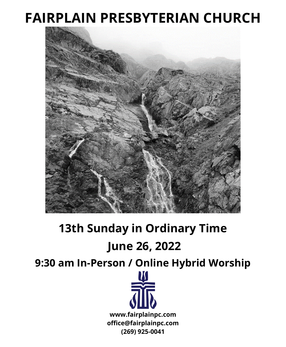# **FAIRPLAIN PRESBYTERIAN CHURCH**



# **13th Sunday in Ordinary Time**

# **June 26, 2022**

**9:30 am In-Person / Online Hybrid Worship**

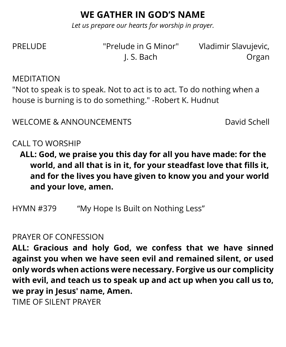## **WE GATHER IN GOD'S NAME**

*Let us prepare our hearts for worship in prayer.*

PRELUDE "Prelude in G Minor" Vladimir Slavujevic,

J. S. Bach Organ

MEDITATION

"Not to speak is to speak. Not to act is to act. To do nothing when a house is burning is to do something." -Robert K. Hudnut

WELCOME & ANNOUNCEMENTS David Schell

CALL TO WORSHIP

**ALL: God, we praise you this day for all you have made: for the world, and all that is in it, for your steadfast love that fills it, and for the lives you have given to know you and your world and your love, amen.**

HYMN #379 "My Hope Is Built on Nothing Less"

#### PRAYER OF CONFESSION

**ALL: Gracious and holy God, we confess that we have sinned against you when we have seen evil and remained silent, or used only words when actions were necessary. Forgive us our complicity with evil, and teach us to speak up and act up when you call us to, we pray in Jesus' name, Amen.**

TIME OF SILENT PRAYER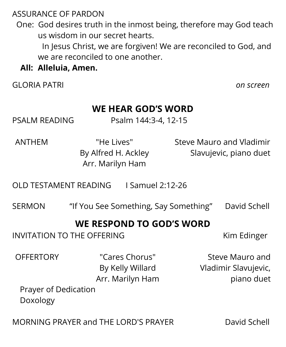ASSURANCE OF PARDON

 One: God desires truth in the inmost being, therefore may God teach us wisdom in our secret hearts.

In Jesus Christ, we are forgiven! We are reconciled to God, and we are reconciled to one another.

#### **All: Alleluia, Amen.**

GLORIA PATRI *on screen*

### **WE HEAR GOD'S WORD**

PSALM READING Psalm 144:3-4, 12-15

ANTHEM "He Lives" By Alfred H. Ackley Arr. Marilyn Ham

Steve Mauro and Vladimir Slavujevic, piano duet

OLD TESTAMENT READING I Samuel 2:12-26

SERMON "If You See Something, Say Something" David Schell

### **WE RESPOND TO GOD'S WORD**

INVITATION TO THE OFFERING THE STREET STREET AND THE STREET ASSESSMENT AND THE STREET ASSESSMENT ASSESSMENT AND THE STREET ASSESSMENT ASSESSMENT AND THE STREET ASSESSMENT ASSESSMENT ASSESSMENT ASSESSMENT ASSESSMENT ASSESSM

OFFERTORY "Cares Chorus" By Kelly Willard Arr. Marilyn Ham

Steve Mauro and Vladimir Slavujevic, piano duet

Prayer of Dedication Doxology

MORNING PRAYER and THE LORD'S PRAYER David Schell